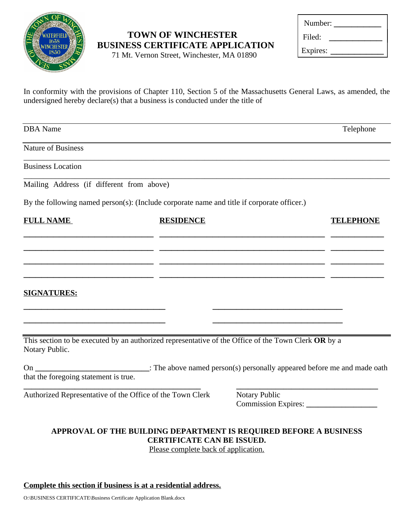

## **TOWN OF WINCHESTER BUSINESS CERTIFICATE APPLICATION**

71 Mt. Vernon Street, Winchester, MA 01890

| Number:  |  |
|----------|--|
| Filed:   |  |
| Expires: |  |

In conformity with the provisions of Chapter 110, Section 5 of the Massachusetts General Laws, as amended, the undersigned hereby declare(s) that a business is conducted under the title of

| <b>DBA</b> Name                                           |                                                                                                            |               | Telephone |
|-----------------------------------------------------------|------------------------------------------------------------------------------------------------------------|---------------|-----------|
| <b>Nature of Business</b>                                 |                                                                                                            |               |           |
| <b>Business Location</b>                                  |                                                                                                            |               |           |
| Mailing Address (if different from above)                 |                                                                                                            |               |           |
|                                                           | By the following named person(s): (Include corporate name and title if corporate officer.)                 |               |           |
| <b>FULL NAME</b>                                          | <b>RESIDENCE</b>                                                                                           |               |           |
|                                                           |                                                                                                            |               |           |
|                                                           |                                                                                                            |               |           |
|                                                           |                                                                                                            |               |           |
| <b>SIGNATURES:</b>                                        |                                                                                                            |               |           |
|                                                           |                                                                                                            |               |           |
| Notary Public.                                            | This section to be executed by an authorized representative of the Office of the Town Clerk OR by a        |               |           |
| that the foregoing statement is true.                     | On ________________________________: The above named person(s) personally appeared before me and made oath |               |           |
| Authorized Representative of the Office of the Town Clerk |                                                                                                            | Notary Public |           |
|                                                           | APPROVAL OF THE BUILDING DEPARTMENT IS REQUIRED BEFORE A BUSINESS<br><b>CERTIFICATE CAN BE ISSUED.</b>     |               |           |
|                                                           | Please complete back of application.                                                                       |               |           |

## **Complete this section if business is at a residential address.**